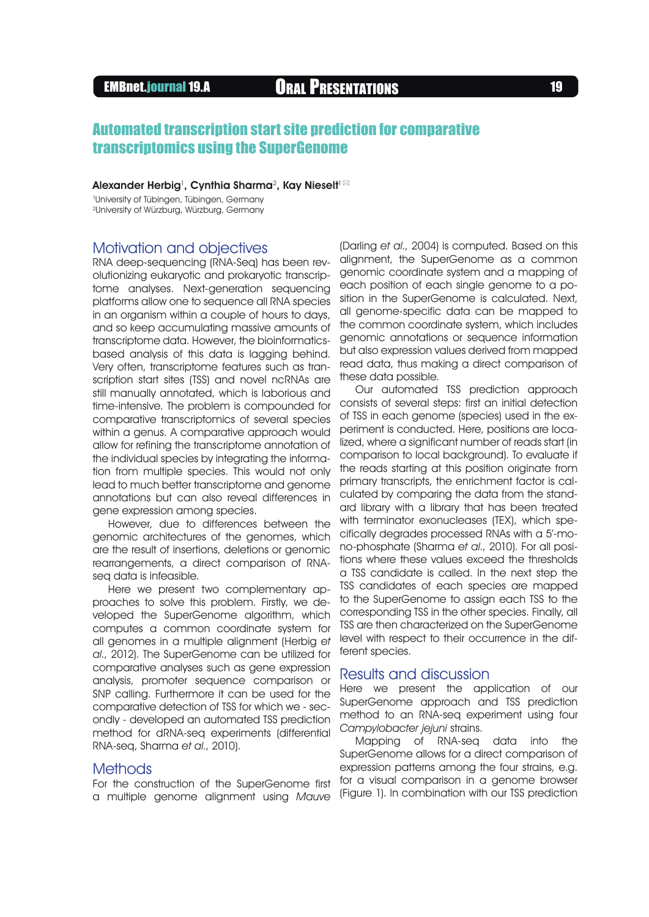# EMBnet.journal 19.A **ORAL PRESENTATIONS** 19

# Automated transcription start site prediction for comparative transcriptomics using the SuperGenome

#### Alexander Herbig<sup>1</sup>, Cynthia Sharma<sup>2</sup>, Kay Nieselt $^{\text{!}}$   $\boxtimes$

1 University of Tübingen, Tübingen, Germany 2University of Würzburg, Würzburg, Germany

## Motivation and objectives

RNA deep-sequencing (RNA-Seq) has been revolutionizing eukaryotic and prokaryotic transcriptome analyses. Next-generation sequencing platforms allow one to sequence all RNA species in an organism within a couple of hours to days, and so keep accumulating massive amounts of transcriptome data. However, the bioinformaticsbased analysis of this data is lagging behind. Very often, transcriptome features such as transcription start sites (TSS) and novel ncRNAs are still manually annotated, which is laborious and time-intensive. The problem is compounded for comparative transcriptomics of several species within a genus. A comparative approach would allow for refining the transcriptome annotation of the individual species by integrating the information from multiple species. This would not only lead to much better transcriptome and genome annotations but can also reveal differences in gene expression among species.

However, due to differences between the genomic architectures of the genomes, which are the result of insertions, deletions or genomic rearrangements, a direct comparison of RNAseq data is infeasible.

Here we present two complementary approaches to solve this problem. Firstly, we developed the SuperGenome algorithm, which computes a common coordinate system for all genomes in a multiple alignment (Herbig et al., 2012). The SuperGenome can be utilized for comparative analyses such as gene expression analysis, promoter sequence comparison or SNP calling. Furthermore it can be used for the comparative detection of TSS for which we - secondly - developed an automated TSS prediction method for dRNA-seq experiments (differential RNA-seq, Sharma et al., 2010).

## **Methods**

For the construction of the SuperGenome first a multiple genome alignment using Mauve (Darling et al., 2004) is computed. Based on this alignment, the SuperGenome as a common genomic coordinate system and a mapping of each position of each single genome to a position in the SuperGenome is calculated. Next, all genome-specific data can be mapped to the common coordinate system, which includes genomic annotations or sequence information but also expression values derived from mapped read data, thus making a direct comparison of these data possible.

Our automated TSS prediction approach consists of several steps: first an initial detection of TSS in each genome (species) used in the experiment is conducted. Here, positions are localized, where a significant number of reads start (in comparison to local background). To evaluate if the reads starting at this position originate from primary transcripts, the enrichment factor is calculated by comparing the data from the standard library with a library that has been treated with terminator exonucleases (TEX), which specifically degrades processed RNAs with a 5'-mono-phosphate (Sharma et al., 2010). For all positions where these values exceed the thresholds a TSS candidate is called. In the next step the TSS candidates of each species are mapped to the SuperGenome to assign each TSS to the corresponding TSS in the other species. Finally, all TSS are then characterized on the SuperGenome level with respect to their occurrence in the different species.

### Results and discussion

Here we present the application of our SuperGenome approach and TSS prediction method to an RNA-seq experiment using four Campylobacter jejuni strains.

Mapping of RNA-seq data into the SuperGenome allows for a direct comparison of expression patterns among the four strains, e.g. for a visual comparison in a genome browser (Figure 1). In combination with our TSS prediction